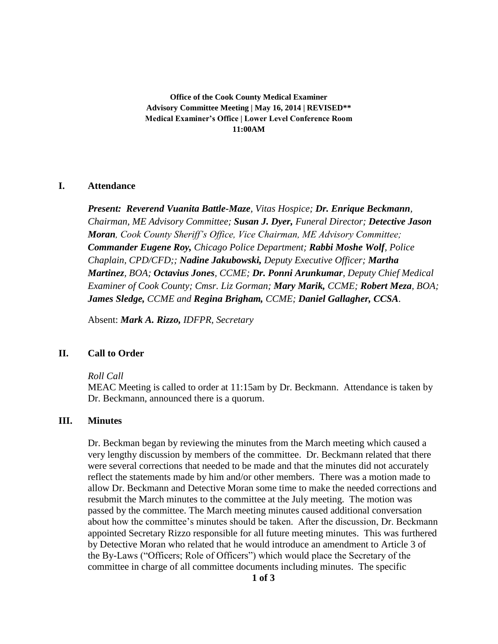**Office of the Cook County Medical Examiner Advisory Committee Meeting | May 16, 2014 | REVISED\*\* Medical Examiner's Office | Lower Level Conference Room 11:00AM**

#### **I. Attendance**

*Present: Reverend Vuanita Battle-Maze, Vitas Hospice; Dr. Enrique Beckmann, Chairman, ME Advisory Committee; Susan J. Dyer, Funeral Director; Detective Jason Moran, Cook County Sheriff's Office, Vice Chairman, ME Advisory Committee; Commander Eugene Roy, Chicago Police Department; Rabbi Moshe Wolf, Police Chaplain, CPD/CFD;; Nadine Jakubowski, Deputy Executive Officer; Martha Martinez, BOA; Octavius Jones, CCME; Dr. Ponni Arunkumar, Deputy Chief Medical Examiner of Cook County; Cmsr. Liz Gorman; Mary Marik, CCME; Robert Meza, BOA; James Sledge, CCME and Regina Brigham, CCME; Daniel Gallagher, CCSA.*

Absent: *Mark A. Rizzo, IDFPR, Secretary*

#### **II. Call to Order**

#### *Roll Call*

MEAC Meeting is called to order at 11:15am by Dr. Beckmann. Attendance is taken by Dr. Beckmann, announced there is a quorum.

## **III. Minutes**

Dr. Beckman began by reviewing the minutes from the March meeting which caused a very lengthy discussion by members of the committee. Dr. Beckmann related that there were several corrections that needed to be made and that the minutes did not accurately reflect the statements made by him and/or other members. There was a motion made to allow Dr. Beckmann and Detective Moran some time to make the needed corrections and resubmit the March minutes to the committee at the July meeting. The motion was passed by the committee. The March meeting minutes caused additional conversation about how the committee's minutes should be taken. After the discussion, Dr. Beckmann appointed Secretary Rizzo responsible for all future meeting minutes. This was furthered by Detective Moran who related that he would introduce an amendment to Article 3 of the By-Laws ("Officers; Role of Officers") which would place the Secretary of the committee in charge of all committee documents including minutes. The specific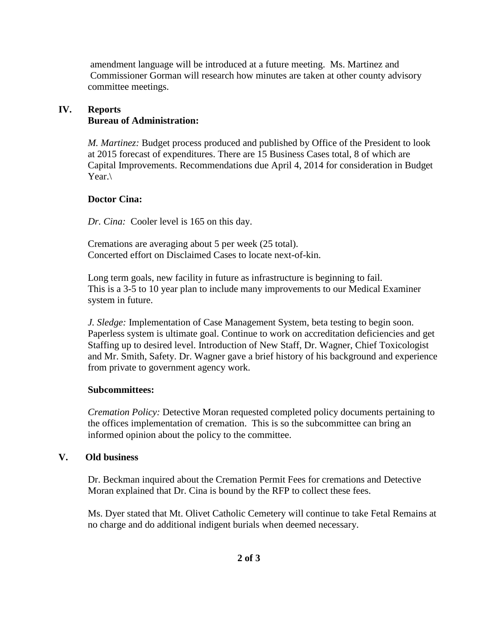amendment language will be introduced at a future meeting. Ms. Martinez and Commissioner Gorman will research how minutes are taken at other county advisory committee meetings.

# **IV. Reports**

# **Bureau of Administration:**

*M. Martinez:* Budget process produced and published by Office of the President to look at 2015 forecast of expenditures. There are 15 Business Cases total, 8 of which are Capital Improvements. Recommendations due April 4, 2014 for consideration in Budget Year.

# **Doctor Cina:**

*Dr. Cina:* Cooler level is 165 on this day.

Cremations are averaging about 5 per week (25 total). Concerted effort on Disclaimed Cases to locate next-of-kin.

Long term goals, new facility in future as infrastructure is beginning to fail. This is a 3-5 to 10 year plan to include many improvements to our Medical Examiner system in future.

*J. Sledge:* Implementation of Case Management System, beta testing to begin soon. Paperless system is ultimate goal. Continue to work on accreditation deficiencies and get Staffing up to desired level. Introduction of New Staff, Dr. Wagner, Chief Toxicologist and Mr. Smith, Safety. Dr. Wagner gave a brief history of his background and experience from private to government agency work.

## **Subcommittees:**

*Cremation Policy:* Detective Moran requested completed policy documents pertaining to the offices implementation of cremation. This is so the subcommittee can bring an informed opinion about the policy to the committee.

## **V. Old business**

Dr. Beckman inquired about the Cremation Permit Fees for cremations and Detective Moran explained that Dr. Cina is bound by the RFP to collect these fees.

Ms. Dyer stated that Mt. Olivet Catholic Cemetery will continue to take Fetal Remains at no charge and do additional indigent burials when deemed necessary.